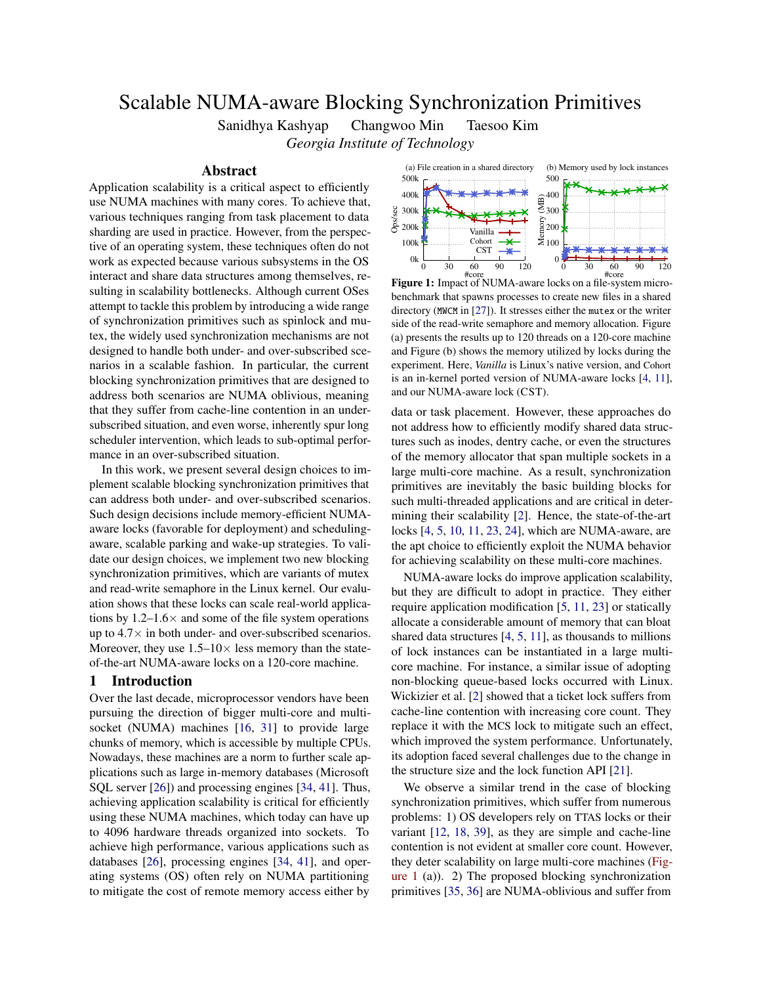# Scalable NUMA-aware Blocking Synchronization Primitives

Sanidhya Kashyap Changwoo Min Taesoo Kim *Georgia Institute of Technology*

## Abstract

Application scalability is a critical aspect to efficiently use NUMA machines with many cores. To achieve that, various techniques ranging from task placement to data sharding are used in practice. However, from the perspective of an operating system, these techniques often do not work as expected because various subsystems in the OS interact and share data structures among themselves, resulting in scalability bottlenecks. Although current OSes attempt to tackle this problem by introducing a wide range of synchronization primitives such as spinlock and mutex, the widely used synchronization mechanisms are not designed to handle both under- and over-subscribed scenarios in a scalable fashion. In particular, the current blocking synchronization primitives that are designed to address both scenarios are NUMA oblivious, meaning that they suffer from cache-line contention in an undersubscribed situation, and even worse, inherently spur long scheduler intervention, which leads to sub-optimal performance in an over-subscribed situation.

In this work, we present several design choices to implement scalable blocking synchronization primitives that can address both under- and over-subscribed scenarios. Such design decisions include memory-efficient NUMAaware locks (favorable for deployment) and schedulingaware, scalable parking and wake-up strategies. To validate our design choices, we implement two new blocking synchronization primitives, which are variants of mutex and read-write semaphore in the Linux kernel. Our evaluation shows that these locks can scale real-world applications by  $1.2-1.6\times$  and some of the file system operations up to  $4.7\times$  in both under- and over-subscribed scenarios. Moreover, they use  $1.5-10\times$  less memory than the stateof-the-art NUMA-aware locks on a 120-core machine.

# 1 Introduction

Over the last decade, microprocessor vendors have been pursuing the direction of bigger multi-core and multisocket (NUMA) machines [\[16,](#page-11-0) [31\]](#page-11-1) to provide large chunks of memory, which is accessible by multiple CPUs. Nowadays, these machines are a norm to further scale applications such as large in-memory databases (Microsoft SQL server [\[26\]](#page-11-2)) and processing engines [\[34,](#page-11-3) [41\]](#page-12-0). Thus, achieving application scalability is critical for efficiently using these NUMA machines, which today can have up to 4096 hardware threads organized into sockets. To achieve high performance, various applications such as databases [\[26\]](#page-11-2), processing engines [\[34,](#page-11-3) [41\]](#page-12-0), and operating systems (OS) often rely on NUMA partitioning to mitigate the cost of remote memory access either by

<span id="page-0-0"></span>

Figure 1: Impact of NUMA-aware locks on a file-system microbenchmark that spawns processes to create new files in a shared directory (MWCM in [\[27\]](#page-11-4)). It stresses either the mutex or the writer side of the read-write semaphore and memory allocation. Figure (a) presents the results up to 120 threads on a 120-core machine and Figure (b) shows the memory utilized by locks during the experiment. Here, *Vanilla* is Linux's native version, and Cohort is an in-kernel ported version of NUMA-aware locks [\[4,](#page-11-5) [11\]](#page-11-6), and our NUMA-aware lock (CST).

data or task placement. However, these approaches do not address how to efficiently modify shared data structures such as inodes, dentry cache, or even the structures of the memory allocator that span multiple sockets in a large multi-core machine. As a result, synchronization primitives are inevitably the basic building blocks for such multi-threaded applications and are critical in determining their scalability [\[2\]](#page-11-7). Hence, the state-of-the-art locks [\[4,](#page-11-5) [5,](#page-11-8) [10,](#page-11-9) [11,](#page-11-6) [23,](#page-11-10) [24\]](#page-11-11), which are NUMA-aware, are the apt choice to efficiently exploit the NUMA behavior for achieving scalability on these multi-core machines.

NUMA-aware locks do improve application scalability, but they are difficult to adopt in practice. They either require application modification [\[5,](#page-11-8) [11,](#page-11-6) [23\]](#page-11-10) or statically allocate a considerable amount of memory that can bloat shared data structures [\[4,](#page-11-5) [5,](#page-11-8) [11\]](#page-11-6), as thousands to millions of lock instances can be instantiated in a large multicore machine. For instance, a similar issue of adopting non-blocking queue-based locks occurred with Linux. Wickizier et al. [\[2\]](#page-11-7) showed that a ticket lock suffers from cache-line contention with increasing core count. They replace it with the MCS lock to mitigate such an effect, which improved the system performance. Unfortunately, its adoption faced several challenges due to the change in the structure size and the lock function API [\[21\]](#page-11-12).

We observe a similar trend in the case of blocking synchronization primitives, which suffer from numerous problems: 1) OS developers rely on TTAS locks or their variant [\[12,](#page-11-13) [18,](#page-11-14) [39\]](#page-12-1), as they are simple and cache-line contention is not evident at smaller core count. However, they deter scalability on large multi-core machines [\(Fig](#page-0-0)[ure 1](#page-0-0) (a)). 2) The proposed blocking synchronization primitives [\[35,](#page-11-15) [36\]](#page-11-16) are NUMA-oblivious and suffer from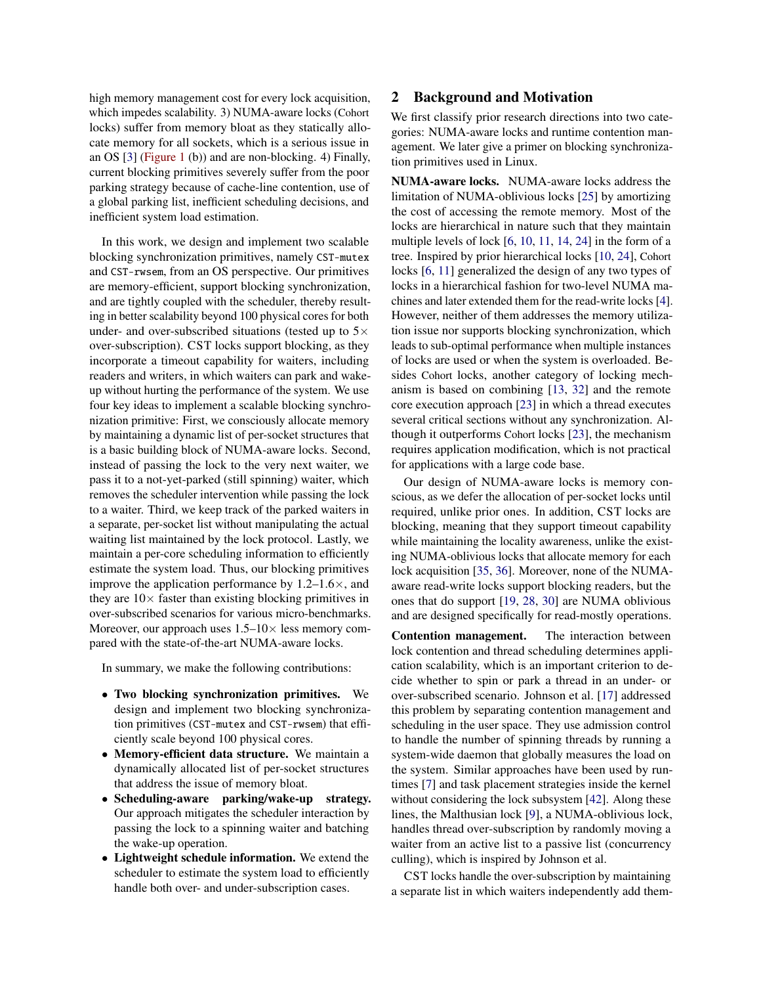high memory management cost for every lock acquisition, which impedes scalability. 3) NUMA-aware locks (Cohort locks) suffer from memory bloat as they statically allocate memory for all sockets, which is a serious issue in an OS [\[3\]](#page-11-17) [\(Figure 1](#page-0-0) (b)) and are non-blocking. 4) Finally, current blocking primitives severely suffer from the poor parking strategy because of cache-line contention, use of a global parking list, inefficient scheduling decisions, and inefficient system load estimation.

In this work, we design and implement two scalable blocking synchronization primitives, namely CST-mutex and CST-rwsem, from an OS perspective. Our primitives are memory-efficient, support blocking synchronization, and are tightly coupled with the scheduler, thereby resulting in better scalability beyond 100 physical cores for both under- and over-subscribed situations (tested up to  $5\times$ over-subscription). CST locks support blocking, as they incorporate a timeout capability for waiters, including readers and writers, in which waiters can park and wakeup without hurting the performance of the system. We use four key ideas to implement a scalable blocking synchronization primitive: First, we consciously allocate memory by maintaining a dynamic list of per-socket structures that is a basic building block of NUMA-aware locks. Second, instead of passing the lock to the very next waiter, we pass it to a not-yet-parked (still spinning) waiter, which removes the scheduler intervention while passing the lock to a waiter. Third, we keep track of the parked waiters in a separate, per-socket list without manipulating the actual waiting list maintained by the lock protocol. Lastly, we maintain a per-core scheduling information to efficiently estimate the system load. Thus, our blocking primitives improve the application performance by  $1.2-1.6\times$ , and they are  $10\times$  faster than existing blocking primitives in over-subscribed scenarios for various micro-benchmarks. Moreover, our approach uses  $1.5-10\times$  less memory compared with the state-of-the-art NUMA-aware locks.

In summary, we make the following contributions:

- Two blocking synchronization primitives. We design and implement two blocking synchronization primitives (CST-mutex and CST-rwsem) that efficiently scale beyond 100 physical cores.
- Memory-efficient data structure. We maintain a dynamically allocated list of per-socket structures that address the issue of memory bloat.
- Scheduling-aware parking/wake-up strategy. Our approach mitigates the scheduler interaction by passing the lock to a spinning waiter and batching the wake-up operation.
- Lightweight schedule information. We extend the scheduler to estimate the system load to efficiently handle both over- and under-subscription cases.

## 2 Background and Motivation

We first classify prior research directions into two categories: NUMA-aware locks and runtime contention management. We later give a primer on blocking synchronization primitives used in Linux.

NUMA-aware locks. NUMA-aware locks address the limitation of NUMA-oblivious locks [\[25\]](#page-11-18) by amortizing the cost of accessing the remote memory. Most of the locks are hierarchical in nature such that they maintain multiple levels of lock [\[6,](#page-11-19) [10,](#page-11-9) [11,](#page-11-6) [14,](#page-11-20) [24\]](#page-11-11) in the form of a tree. Inspired by prior hierarchical locks [\[10,](#page-11-9) [24\]](#page-11-11), Cohort locks [\[6,](#page-11-19) [11\]](#page-11-6) generalized the design of any two types of locks in a hierarchical fashion for two-level NUMA machines and later extended them for the read-write locks [\[4\]](#page-11-5). However, neither of them addresses the memory utilization issue nor supports blocking synchronization, which leads to sub-optimal performance when multiple instances of locks are used or when the system is overloaded. Besides Cohort locks, another category of locking mechanism is based on combining [\[13,](#page-11-21) [32\]](#page-11-22) and the remote core execution approach [\[23\]](#page-11-10) in which a thread executes several critical sections without any synchronization. Although it outperforms Cohort locks [\[23\]](#page-11-10), the mechanism requires application modification, which is not practical for applications with a large code base.

Our design of NUMA-aware locks is memory conscious, as we defer the allocation of per-socket locks until required, unlike prior ones. In addition, CST locks are blocking, meaning that they support timeout capability while maintaining the locality awareness, unlike the existing NUMA-oblivious locks that allocate memory for each lock acquisition [\[35,](#page-11-15) [36\]](#page-11-16). Moreover, none of the NUMAaware read-write locks support blocking readers, but the ones that do support [\[19,](#page-11-23) [28,](#page-11-24) [30\]](#page-11-25) are NUMA oblivious and are designed specifically for read-mostly operations.

Contention management. The interaction between lock contention and thread scheduling determines application scalability, which is an important criterion to decide whether to spin or park a thread in an under- or over-subscribed scenario. Johnson et al. [\[17\]](#page-11-26) addressed this problem by separating contention management and scheduling in the user space. They use admission control to handle the number of spinning threads by running a system-wide daemon that globally measures the load on the system. Similar approaches have been used by runtimes [\[7\]](#page-11-27) and task placement strategies inside the kernel without considering the lock subsystem [\[42\]](#page-12-2). Along these lines, the Malthusian lock [\[9\]](#page-11-28), a NUMA-oblivious lock, handles thread over-subscription by randomly moving a waiter from an active list to a passive list (concurrency culling), which is inspired by Johnson et al.

CST locks handle the over-subscription by maintaining a separate list in which waiters independently add them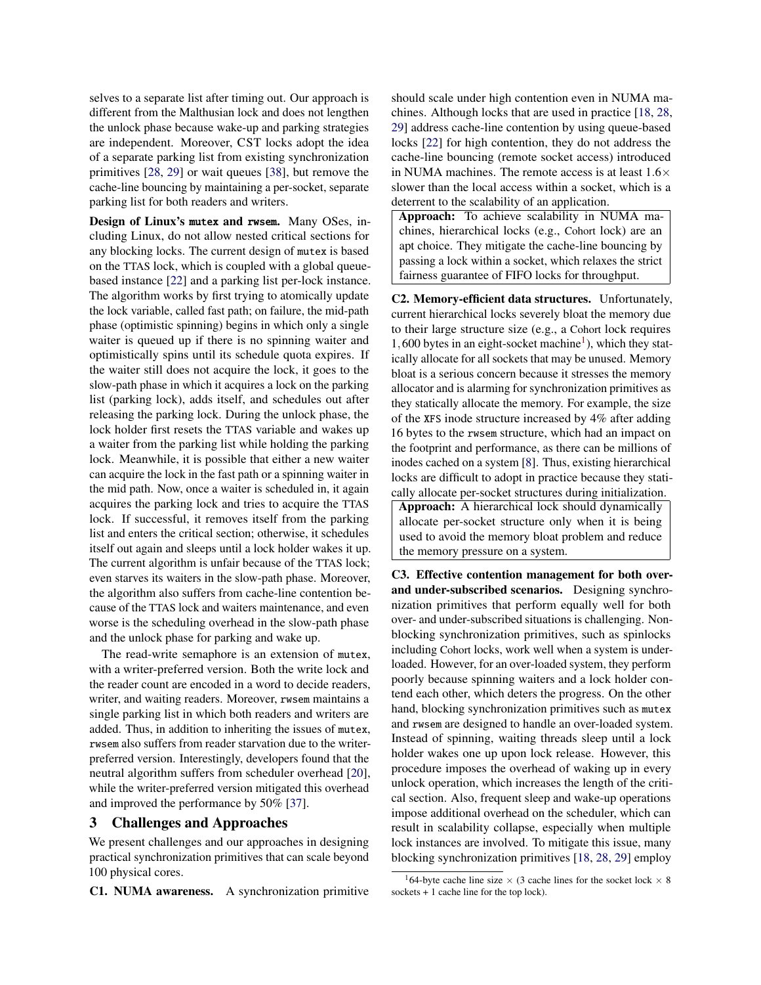selves to a separate list after timing out. Our approach is different from the Malthusian lock and does not lengthen the unlock phase because wake-up and parking strategies are independent. Moreover, CST locks adopt the idea of a separate parking list from existing synchronization primitives [\[28,](#page-11-24) [29\]](#page-11-29) or wait queues [\[38\]](#page-12-3), but remove the cache-line bouncing by maintaining a per-socket, separate parking list for both readers and writers.

Design of Linux's mutex and rwsem. Many OSes, including Linux, do not allow nested critical sections for any blocking locks. The current design of mutex is based on the TTAS lock, which is coupled with a global queuebased instance [\[22\]](#page-11-30) and a parking list per-lock instance. The algorithm works by first trying to atomically update the lock variable, called fast path; on failure, the mid-path phase (optimistic spinning) begins in which only a single waiter is queued up if there is no spinning waiter and optimistically spins until its schedule quota expires. If the waiter still does not acquire the lock, it goes to the slow-path phase in which it acquires a lock on the parking list (parking lock), adds itself, and schedules out after releasing the parking lock. During the unlock phase, the lock holder first resets the TTAS variable and wakes up a waiter from the parking list while holding the parking lock. Meanwhile, it is possible that either a new waiter can acquire the lock in the fast path or a spinning waiter in the mid path. Now, once a waiter is scheduled in, it again acquires the parking lock and tries to acquire the TTAS lock. If successful, it removes itself from the parking list and enters the critical section; otherwise, it schedules itself out again and sleeps until a lock holder wakes it up. The current algorithm is unfair because of the TTAS lock; even starves its waiters in the slow-path phase. Moreover, the algorithm also suffers from cache-line contention because of the TTAS lock and waiters maintenance, and even worse is the scheduling overhead in the slow-path phase and the unlock phase for parking and wake up.

The read-write semaphore is an extension of mutex, with a writer-preferred version. Both the write lock and the reader count are encoded in a word to decide readers, writer, and waiting readers. Moreover, rwsem maintains a single parking list in which both readers and writers are added. Thus, in addition to inheriting the issues of mutex, rwsem also suffers from reader starvation due to the writerpreferred version. Interestingly, developers found that the neutral algorithm suffers from scheduler overhead [\[20\]](#page-11-31), while the writer-preferred version mitigated this overhead and improved the performance by 50% [\[37\]](#page-11-32).

## 3 Challenges and Approaches

We present challenges and our approaches in designing practical synchronization primitives that can scale beyond 100 physical cores.

C1. NUMA awareness. A synchronization primitive

should scale under high contention even in NUMA machines. Although locks that are used in practice [\[18,](#page-11-14) [28,](#page-11-24) [29\]](#page-11-29) address cache-line contention by using queue-based locks [\[22\]](#page-11-30) for high contention, they do not address the cache-line bouncing (remote socket access) introduced in NUMA machines. The remote access is at least  $1.6\times$ slower than the local access within a socket, which is a deterrent to the scalability of an application.

Approach: To achieve scalability in NUMA machines, hierarchical locks (e.g., Cohort lock) are an apt choice. They mitigate the cache-line bouncing by passing a lock within a socket, which relaxes the strict fairness guarantee of FIFO locks for throughput.

C2. Memory-efficient data structures. Unfortunately, current hierarchical locks severely bloat the memory due to their large structure size (e.g., a Cohort lock requires  $1,600$  $1,600$  bytes in an eight-socket machine<sup>1</sup>), which they statically allocate for all sockets that may be unused. Memory bloat is a serious concern because it stresses the memory allocator and is alarming for synchronization primitives as they statically allocate the memory. For example, the size of the XFS inode structure increased by 4% after adding 16 bytes to the rwsem structure, which had an impact on the footprint and performance, as there can be millions of inodes cached on a system [\[8\]](#page-11-33). Thus, existing hierarchical locks are difficult to adopt in practice because they statically allocate per-socket structures during initialization.

Approach: A hierarchical lock should dynamically allocate per-socket structure only when it is being used to avoid the memory bloat problem and reduce the memory pressure on a system.

C3. Effective contention management for both overand under-subscribed scenarios. Designing synchronization primitives that perform equally well for both over- and under-subscribed situations is challenging. Nonblocking synchronization primitives, such as spinlocks including Cohort locks, work well when a system is underloaded. However, for an over-loaded system, they perform poorly because spinning waiters and a lock holder contend each other, which deters the progress. On the other hand, blocking synchronization primitives such as mutex and rwsem are designed to handle an over-loaded system. Instead of spinning, waiting threads sleep until a lock holder wakes one up upon lock release. However, this procedure imposes the overhead of waking up in every unlock operation, which increases the length of the critical section. Also, frequent sleep and wake-up operations impose additional overhead on the scheduler, which can result in scalability collapse, especially when multiple lock instances are involved. To mitigate this issue, many blocking synchronization primitives [\[18,](#page-11-14) [28,](#page-11-24) [29\]](#page-11-29) employ

<span id="page-2-0"></span><sup>&</sup>lt;sup>1</sup>64-byte cache line size  $\times$  (3 cache lines for the socket lock  $\times$  8 sockets + 1 cache line for the top lock).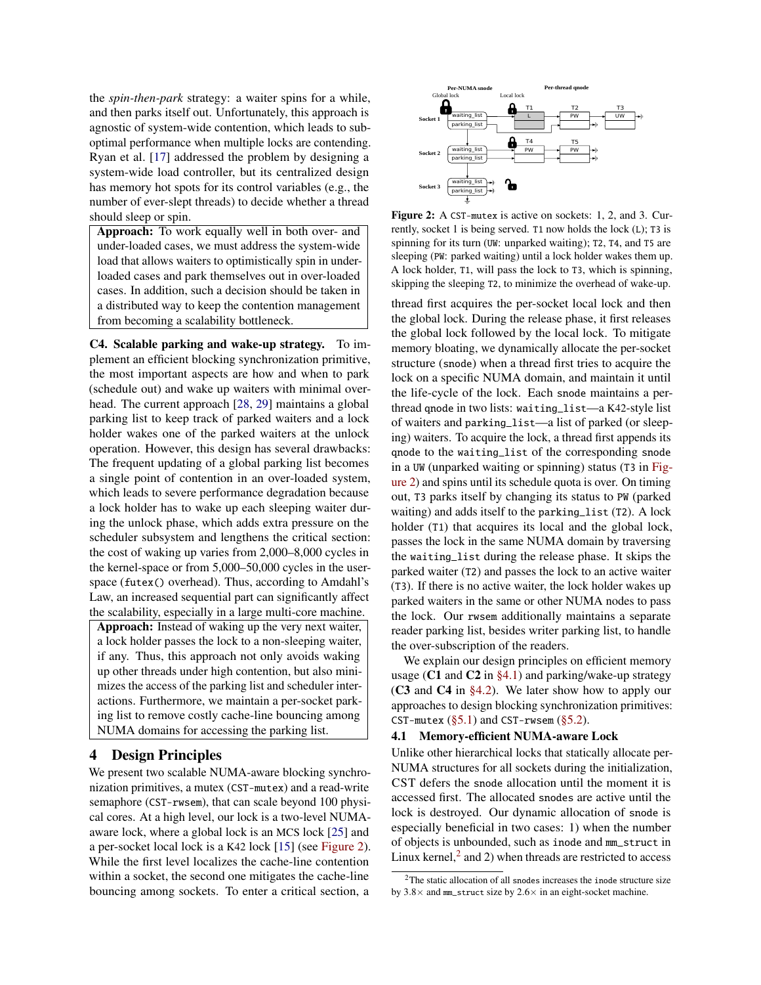the *spin-then-park* strategy: a waiter spins for a while, and then parks itself out. Unfortunately, this approach is agnostic of system-wide contention, which leads to suboptimal performance when multiple locks are contending. Ryan et al. [\[17\]](#page-11-26) addressed the problem by designing a system-wide load controller, but its centralized design has memory hot spots for its control variables (e.g., the number of ever-slept threads) to decide whether a thread should sleep or spin.

Approach: To work equally well in both over- and under-loaded cases, we must address the system-wide load that allows waiters to optimistically spin in underloaded cases and park themselves out in over-loaded cases. In addition, such a decision should be taken in a distributed way to keep the contention management from becoming a scalability bottleneck.

C4. Scalable parking and wake-up strategy. To implement an efficient blocking synchronization primitive, the most important aspects are how and when to park (schedule out) and wake up waiters with minimal overhead. The current approach [\[28,](#page-11-24) [29\]](#page-11-29) maintains a global parking list to keep track of parked waiters and a lock holder wakes one of the parked waiters at the unlock operation. However, this design has several drawbacks: The frequent updating of a global parking list becomes a single point of contention in an over-loaded system, which leads to severe performance degradation because a lock holder has to wake up each sleeping waiter during the unlock phase, which adds extra pressure on the scheduler subsystem and lengthens the critical section: the cost of waking up varies from 2,000–8,000 cycles in the kernel-space or from 5,000–50,000 cycles in the userspace (futex() overhead). Thus, according to Amdahl's Law, an increased sequential part can significantly affect the scalability, especially in a large multi-core machine.

Approach: Instead of waking up the very next waiter, a lock holder passes the lock to a non-sleeping waiter, if any. Thus, this approach not only avoids waking up other threads under high contention, but also minimizes the access of the parking list and scheduler interactions. Furthermore, we maintain a per-socket parking list to remove costly cache-line bouncing among NUMA domains for accessing the parking list.

#### 4 Design Principles

We present two scalable NUMA-aware blocking synchronization primitives, a mutex (CST-mutex) and a read-write semaphore (CST-rwsem), that can scale beyond 100 physical cores. At a high level, our lock is a two-level NUMAaware lock, where a global lock is an MCS lock [\[25\]](#page-11-18) and a per-socket local lock is a K42 lock [\[15\]](#page-11-34) (see [Figure 2\)](#page-3-0). While the first level localizes the cache-line contention within a socket, the second one mitigates the cache-line bouncing among sockets. To enter a critical section, a

<span id="page-3-0"></span>

Figure 2: A CST-mutex is active on sockets: 1, 2, and 3. Currently, socket 1 is being served. T1 now holds the lock (L); T3 is spinning for its turn (UW: unparked waiting); T2, T4, and T5 are sleeping (PW: parked waiting) until a lock holder wakes them up. A lock holder, T1, will pass the lock to T3, which is spinning, skipping the sleeping T2, to minimize the overhead of wake-up.

thread first acquires the per-socket local lock and then the global lock. During the release phase, it first releases the global lock followed by the local lock. To mitigate memory bloating, we dynamically allocate the per-socket structure (snode) when a thread first tries to acquire the lock on a specific NUMA domain, and maintain it until the life-cycle of the lock. Each snode maintains a perthread qnode in two lists: waiting\_list—a K42-style list of waiters and parking\_list—a list of parked (or sleeping) waiters. To acquire the lock, a thread first appends its qnode to the waiting\_list of the corresponding snode in a UW (unparked waiting or spinning) status (T3 in [Fig](#page-3-0)[ure 2\)](#page-3-0) and spins until its schedule quota is over. On timing out, T3 parks itself by changing its status to PW (parked waiting) and adds itself to the parking\_list (T2). A lock holder (T1) that acquires its local and the global lock, passes the lock in the same NUMA domain by traversing the waiting\_list during the release phase. It skips the parked waiter (T2) and passes the lock to an active waiter (T3). If there is no active waiter, the lock holder wakes up parked waiters in the same or other NUMA nodes to pass the lock. Our rwsem additionally maintains a separate reader parking list, besides writer parking list, to handle the over-subscription of the readers.

We explain our design principles on efficient memory usage (C1 and C2 in  $\S 4.1$ ) and parking/wake-up strategy (C3 and C4 in [§4.2\)](#page-4-0). We later show how to apply our approaches to design blocking synchronization primitives: CST-mutex  $(\S 5.1)$  and CST-rwsem  $(\S 5.2)$ .

#### <span id="page-3-1"></span>4.1 Memory-efficient NUMA-aware Lock

Unlike other hierarchical locks that statically allocate per-NUMA structures for all sockets during the initialization, CST defers the snode allocation until the moment it is accessed first. The allocated snodes are active until the lock is destroyed. Our dynamic allocation of snode is especially beneficial in two cases: 1) when the number of objects is unbounded, such as inode and mm\_struct in Linux kernel, $^2$  $^2$  and 2) when threads are restricted to access

<span id="page-3-2"></span> $2$ The static allocation of all snodes increases the inode structure size by  $3.8\times$  and mm\_struct size by  $2.6\times$  in an eight-socket machine.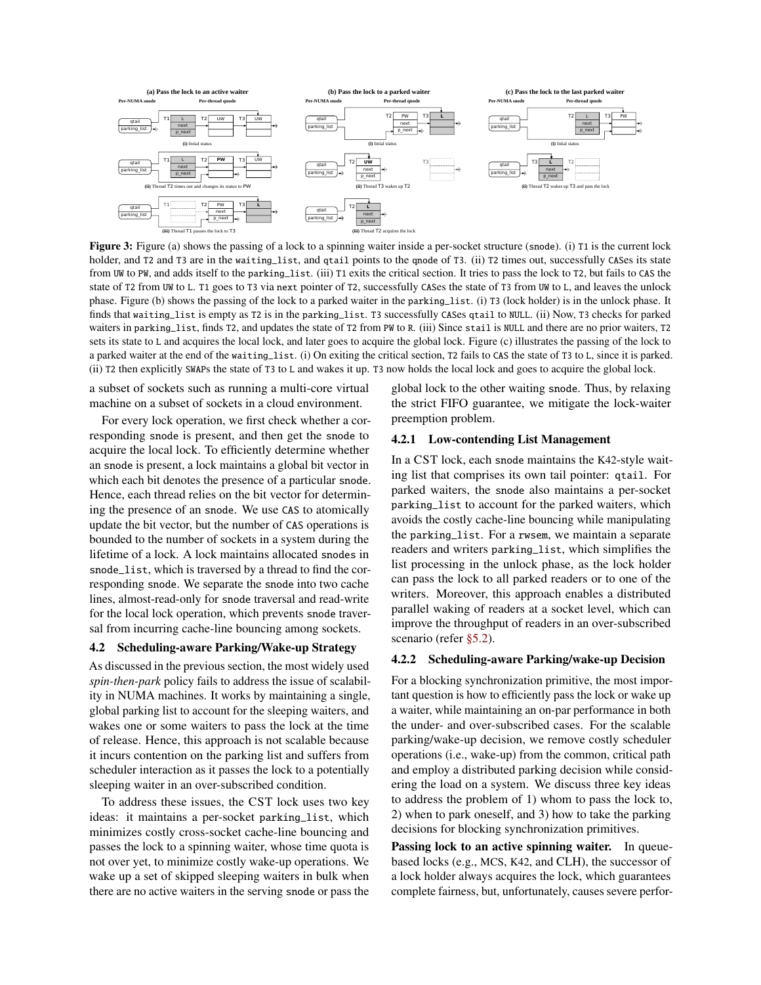<span id="page-4-1"></span>

Figure 3: Figure (a) shows the passing of a lock to a spinning waiter inside a per-socket structure (snode). (i) T1 is the current lock holder, and T2 and T3 are in the waiting\_list, and qtail points to the qnode of T3. (ii) T2 times out, successfully CASes its state from UW to PW, and adds itself to the parking\_list. (iii) T1 exits the critical section. It tries to pass the lock to T2, but fails to CAS the state of T2 from UW to L. T1 goes to T3 via next pointer of T2, successfully CASes the state of T3 from UW to L, and leaves the unlock phase. Figure (b) shows the passing of the lock to a parked waiter in the parking\_list. (i) T3 (lock holder) is in the unlock phase. It finds that waiting\_list is empty as T2 is in the parking\_list. T3 successfully CASes qtail to NULL. (ii) Now, T3 checks for parked waiters in parking\_list, finds T2, and updates the state of T2 from PW to R. (iii) Since stail is NULL and there are no prior waiters, T2 sets its state to L and acquires the local lock, and later goes to acquire the global lock. Figure (c) illustrates the passing of the lock to a parked waiter at the end of the waiting\_list. (i) On exiting the critical section, T2 fails to CAS the state of T3 to L, since it is parked. (ii) T2 then explicitly SWAPs the state of T3 to L and wakes it up. T3 now holds the local lock and goes to acquire the global lock.

a subset of sockets such as running a multi-core virtual machine on a subset of sockets in a cloud environment.

For every lock operation, we first check whether a corresponding snode is present, and then get the snode to acquire the local lock. To efficiently determine whether an snode is present, a lock maintains a global bit vector in which each bit denotes the presence of a particular snode. Hence, each thread relies on the bit vector for determining the presence of an snode. We use CAS to atomically update the bit vector, but the number of CAS operations is bounded to the number of sockets in a system during the lifetime of a lock. A lock maintains allocated snodes in snode\_list, which is traversed by a thread to find the corresponding snode. We separate the snode into two cache lines, almost-read-only for snode traversal and read-write for the local lock operation, which prevents snode traversal from incurring cache-line bouncing among sockets.

## <span id="page-4-0"></span>4.2 Scheduling-aware Parking/Wake-up Strategy

As discussed in the previous section, the most widely used *spin-then-park* policy fails to address the issue of scalability in NUMA machines. It works by maintaining a single, global parking list to account for the sleeping waiters, and wakes one or some waiters to pass the lock at the time of release. Hence, this approach is not scalable because it incurs contention on the parking list and suffers from scheduler interaction as it passes the lock to a potentially sleeping waiter in an over-subscribed condition.

To address these issues, the CST lock uses two key ideas: it maintains a per-socket parking\_list, which minimizes costly cross-socket cache-line bouncing and passes the lock to a spinning waiter, whose time quota is not over yet, to minimize costly wake-up operations. We wake up a set of skipped sleeping waiters in bulk when there are no active waiters in the serving snode or pass the global lock to the other waiting snode. Thus, by relaxing the strict FIFO guarantee, we mitigate the lock-waiter preemption problem.

#### 4.2.1 Low-contending List Management

In a CST lock, each snode maintains the K42-style waiting list that comprises its own tail pointer: qtail. For parked waiters, the snode also maintains a per-socket parking\_list to account for the parked waiters, which avoids the costly cache-line bouncing while manipulating the parking\_list. For a rwsem, we maintain a separate readers and writers parking\_list, which simplifies the list processing in the unlock phase, as the lock holder can pass the lock to all parked readers or to one of the writers. Moreover, this approach enables a distributed parallel waking of readers at a socket level, which can improve the throughput of readers in an over-subscribed scenario (refer [§5.2\)](#page-7-0).

#### 4.2.2 Scheduling-aware Parking/wake-up Decision

For a blocking synchronization primitive, the most important question is how to efficiently pass the lock or wake up a waiter, while maintaining an on-par performance in both the under- and over-subscribed cases. For the scalable parking/wake-up decision, we remove costly scheduler operations (i.e., wake-up) from the common, critical path and employ a distributed parking decision while considering the load on a system. We discuss three key ideas to address the problem of 1) whom to pass the lock to, 2) when to park oneself, and 3) how to take the parking decisions for blocking synchronization primitives.

Passing lock to an active spinning waiter. In queuebased locks (e.g., MCS, K42, and CLH), the successor of a lock holder always acquires the lock, which guarantees complete fairness, but, unfortunately, causes severe perfor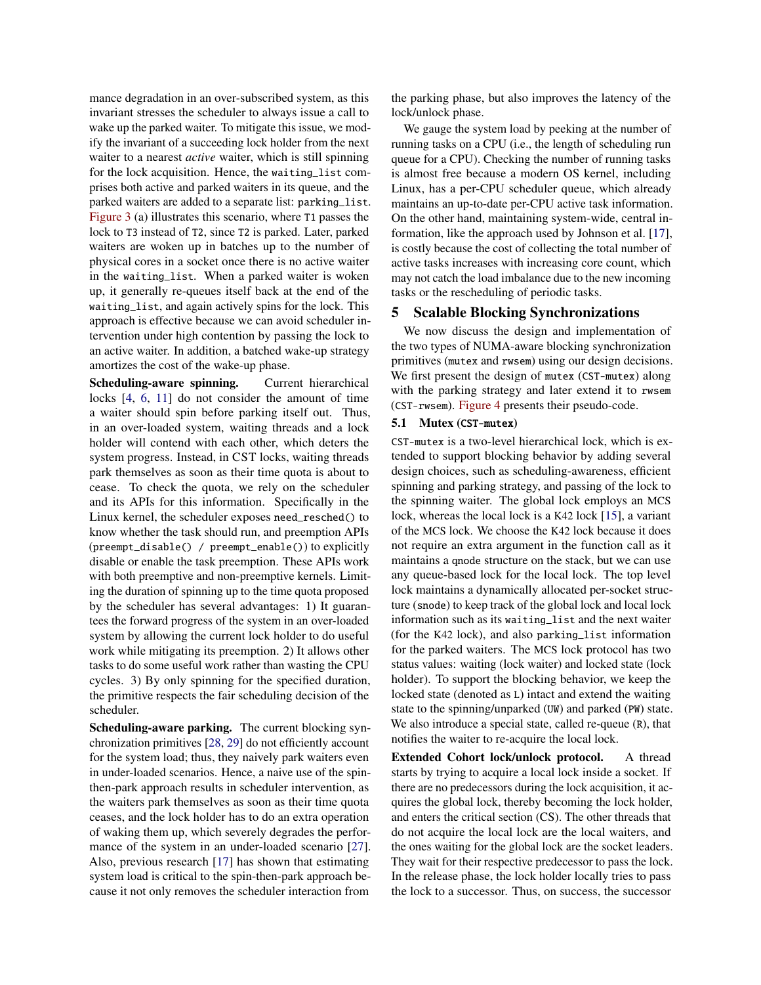mance degradation in an over-subscribed system, as this invariant stresses the scheduler to always issue a call to wake up the parked waiter. To mitigate this issue, we modify the invariant of a succeeding lock holder from the next waiter to a nearest *active* waiter, which is still spinning for the lock acquisition. Hence, the waiting\_list comprises both active and parked waiters in its queue, and the parked waiters are added to a separate list: parking\_list. [Figure 3](#page-4-1) (a) illustrates this scenario, where T1 passes the lock to T3 instead of T2, since T2 is parked. Later, parked waiters are woken up in batches up to the number of physical cores in a socket once there is no active waiter in the waiting\_list. When a parked waiter is woken up, it generally re-queues itself back at the end of the waiting\_list, and again actively spins for the lock. This approach is effective because we can avoid scheduler intervention under high contention by passing the lock to an active waiter. In addition, a batched wake-up strategy amortizes the cost of the wake-up phase.

Scheduling-aware spinning. Current hierarchical locks [\[4,](#page-11-5) [6,](#page-11-19) [11\]](#page-11-6) do not consider the amount of time a waiter should spin before parking itself out. Thus, in an over-loaded system, waiting threads and a lock holder will contend with each other, which deters the system progress. Instead, in CST locks, waiting threads park themselves as soon as their time quota is about to cease. To check the quota, we rely on the scheduler and its APIs for this information. Specifically in the Linux kernel, the scheduler exposes need\_resched() to know whether the task should run, and preemption APIs (preempt\_disable() / preempt\_enable()) to explicitly disable or enable the task preemption. These APIs work with both preemptive and non-preemptive kernels. Limiting the duration of spinning up to the time quota proposed by the scheduler has several advantages: 1) It guarantees the forward progress of the system in an over-loaded system by allowing the current lock holder to do useful work while mitigating its preemption. 2) It allows other tasks to do some useful work rather than wasting the CPU cycles. 3) By only spinning for the specified duration, the primitive respects the fair scheduling decision of the scheduler.

Scheduling-aware parking. The current blocking synchronization primitives [\[28,](#page-11-24) [29\]](#page-11-29) do not efficiently account for the system load; thus, they naively park waiters even in under-loaded scenarios. Hence, a naive use of the spinthen-park approach results in scheduler intervention, as the waiters park themselves as soon as their time quota ceases, and the lock holder has to do an extra operation of waking them up, which severely degrades the performance of the system in an under-loaded scenario [\[27\]](#page-11-4). Also, previous research [\[17\]](#page-11-26) has shown that estimating system load is critical to the spin-then-park approach because it not only removes the scheduler interaction from

the parking phase, but also improves the latency of the lock/unlock phase.

We gauge the system load by peeking at the number of running tasks on a CPU (i.e., the length of scheduling run queue for a CPU). Checking the number of running tasks is almost free because a modern OS kernel, including Linux, has a per-CPU scheduler queue, which already maintains an up-to-date per-CPU active task information. On the other hand, maintaining system-wide, central information, like the approach used by Johnson et al. [\[17\]](#page-11-26), is costly because the cost of collecting the total number of active tasks increases with increasing core count, which may not catch the load imbalance due to the new incoming tasks or the rescheduling of periodic tasks.

#### 5 Scalable Blocking Synchronizations

We now discuss the design and implementation of the two types of NUMA-aware blocking synchronization primitives (mutex and rwsem) using our design decisions. We first present the design of mutex (CST-mutex) along with the parking strategy and later extend it to rwsem (CST-rwsem). [Figure 4](#page-6-0) presents their pseudo-code.

#### <span id="page-5-0"></span>5.1 Mutex (CST-mutex)

CST-mutex is a two-level hierarchical lock, which is extended to support blocking behavior by adding several design choices, such as scheduling-awareness, efficient spinning and parking strategy, and passing of the lock to the spinning waiter. The global lock employs an MCS lock, whereas the local lock is a K42 lock [\[15\]](#page-11-34), a variant of the MCS lock. We choose the K42 lock because it does not require an extra argument in the function call as it maintains a qnode structure on the stack, but we can use any queue-based lock for the local lock. The top level lock maintains a dynamically allocated per-socket structure (snode) to keep track of the global lock and local lock information such as its waiting\_list and the next waiter (for the K42 lock), and also parking\_list information for the parked waiters. The MCS lock protocol has two status values: waiting (lock waiter) and locked state (lock holder). To support the blocking behavior, we keep the locked state (denoted as L) intact and extend the waiting state to the spinning/unparked (UW) and parked (PW) state. We also introduce a special state, called re-queue (R), that notifies the waiter to re-acquire the local lock.

Extended Cohort lock/unlock protocol. A thread starts by trying to acquire a local lock inside a socket. If there are no predecessors during the lock acquisition, it acquires the global lock, thereby becoming the lock holder, and enters the critical section (CS). The other threads that do not acquire the local lock are the local waiters, and the ones waiting for the global lock are the socket leaders. They wait for their respective predecessor to pass the lock. In the release phase, the lock holder locally tries to pass the lock to a successor. Thus, on success, the successor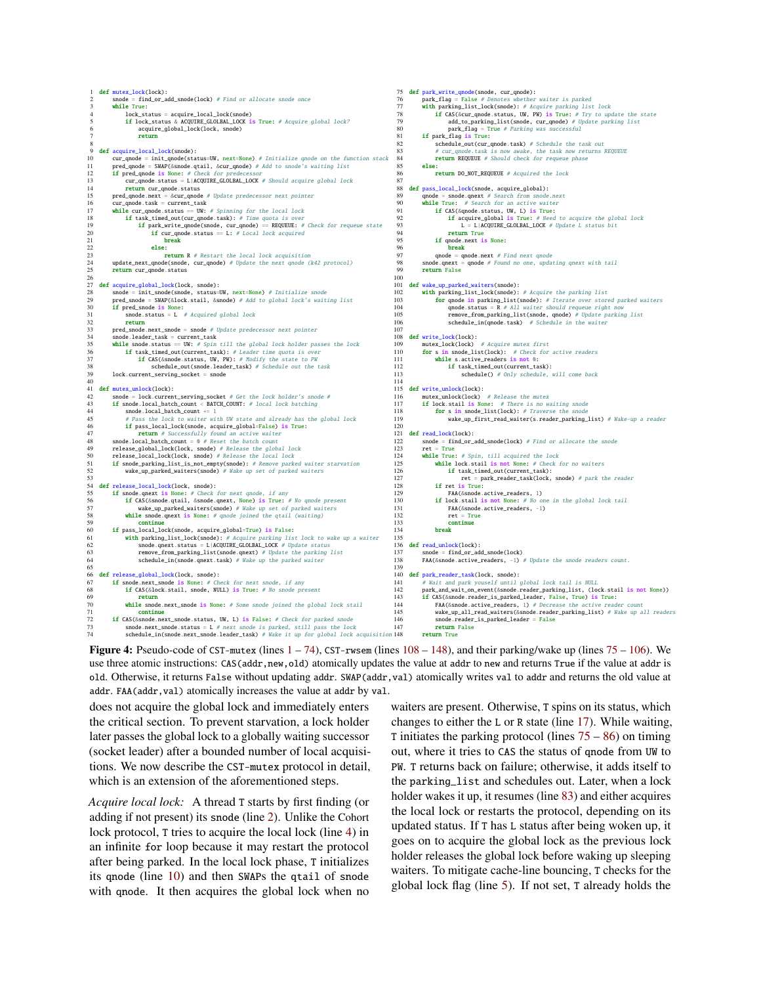<span id="page-6-0"></span>

**Figure 4:** Pseudo-code of CST-mutex (lines  $1 - 74$ ), CST-rwsem (lines  $108 - 148$  $108 - 148$ ), and their parking/wake up (lines  $75 - 106$  $75 - 106$ ). We use three atomic instructions: CAS(addr,new,old) atomically updates the value at addr to new and returns True if the value at addr is old. Otherwise, it returns False without updating addr. SWAP(addr,val) atomically writes val to addr and returns the old value at addr. FAA(addr, val) atomically increases the value at addr by val.

does not acquire the global lock and immediately enters the critical section. To prevent starvation, a lock holder later passes the global lock to a globally waiting successor (socket leader) after a bounded number of local acquisitions. We now describe the CST-mutex protocol in detail, which is an extension of the aforementioned steps.

*Acquire local lock:* A thread T starts by first finding (or adding if not present) its snode (line [2\)](#page-6-0). Unlike the Cohort lock protocol, T tries to acquire the local lock (line [4\)](#page-6-0) in an infinite for loop because it may restart the protocol after being parked. In the local lock phase, T initializes its qnode (line [10\)](#page-6-0) and then SWAPs the qtail of snode with qnode. It then acquires the global lock when no

waiters are present. Otherwise, T spins on its status, which changes to either the L or R state (line [17\)](#page-6-0). While waiting, T initiates the parking protocol (lines  $75 - 86$ ) on timing out, where it tries to CAS the status of qnode from UW to PW. T returns back on failure; otherwise, it adds itself to the parking\_list and schedules out. Later, when a lock holder wakes it up, it resumes (line [83\)](#page-6-0) and either acquires the local lock or restarts the protocol, depending on its updated status. If T has L status after being woken up, it goes on to acquire the global lock as the previous lock holder releases the global lock before waking up sleeping waiters. To mitigate cache-line bouncing, T checks for the global lock flag (line [5\)](#page-6-0). If not set, T already holds the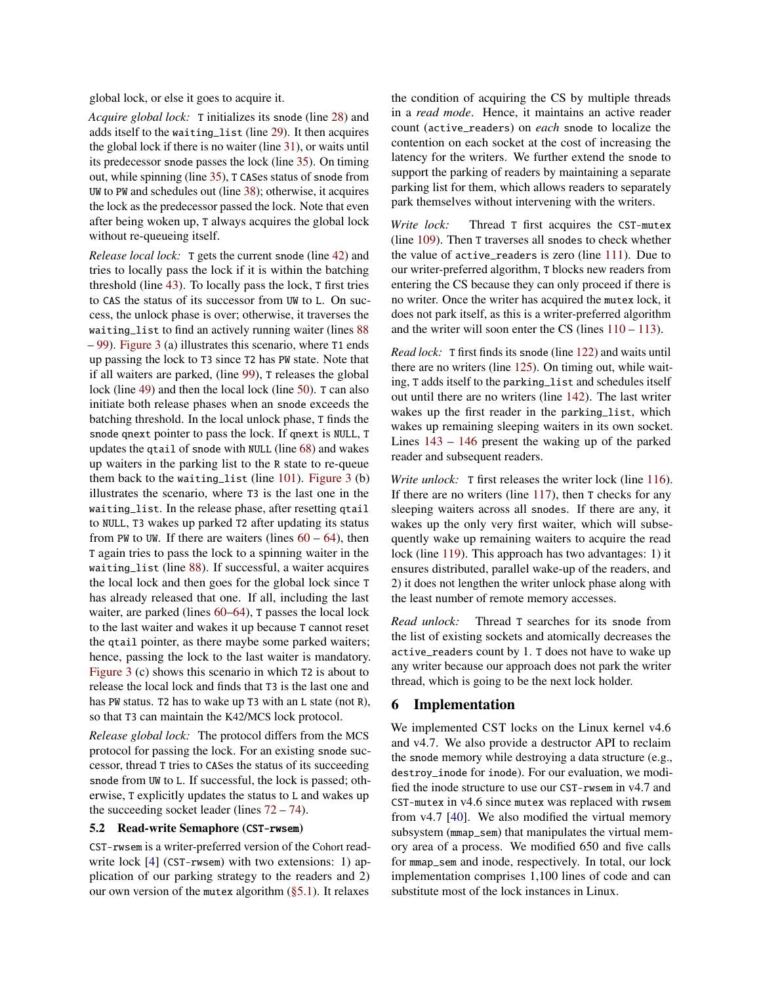global lock, or else it goes to acquire it.

*Acquire global lock:* T initializes its snode (line [28\)](#page-6-0) and adds itself to the waiting\_list (line [29\)](#page-6-0). It then acquires the global lock if there is no waiter (line [31\)](#page-6-0), or waits until its predecessor snode passes the lock (line [35\)](#page-6-0). On timing out, while spinning (line [35\)](#page-6-0), T CASes status of snode from UW to PW and schedules out (line [38\)](#page-6-0); otherwise, it acquires the lock as the predecessor passed the lock. Note that even after being woken up, T always acquires the global lock without re-queueing itself.

*Release local lock:* T gets the current snode (line [42\)](#page-6-0) and tries to locally pass the lock if it is within the batching threshold (line [43\)](#page-6-0). To locally pass the lock, T first tries to CAS the status of its successor from UW to L. On success, the unlock phase is over; otherwise, it traverses the waiting\_list to find an actively running waiter (lines [88](#page-6-0) – [99\)](#page-6-0). [Figure 3](#page-4-1) (a) illustrates this scenario, where T1 ends up passing the lock to T3 since T2 has PW state. Note that if all waiters are parked, (line [99\)](#page-6-0), T releases the global lock (line [49\)](#page-6-0) and then the local lock (line [50\)](#page-6-0). T can also initiate both release phases when an snode exceeds the batching threshold. In the local unlock phase, T finds the snode qnext pointer to pass the lock. If qnext is NULL, T updates the qtail of snode with NULL (line [68\)](#page-6-0) and wakes up waiters in the parking list to the R state to re-queue them back to the waiting\_list (line  $101$ ). [Figure 3](#page-4-1) (b) illustrates the scenario, where T3 is the last one in the waiting\_list. In the release phase, after resetting qtail to NULL, T3 wakes up parked T2 after updating its status from PW to UW. If there are waiters (lines  $60 - 64$  $60 - 64$ ), then T again tries to pass the lock to a spinning waiter in the waiting\_list (line [88\)](#page-6-0). If successful, a waiter acquires the local lock and then goes for the global lock since T has already released that one. If all, including the last waiter, are parked (lines  $60-64$ ), T passes the local lock to the last waiter and wakes it up because T cannot reset the qtail pointer, as there maybe some parked waiters; hence, passing the lock to the last waiter is mandatory. [Figure 3](#page-4-1) (c) shows this scenario in which T2 is about to release the local lock and finds that T3 is the last one and has PW status. T2 has to wake up T3 with an L state (not R), so that T3 can maintain the K42/MCS lock protocol.

*Release global lock:* The protocol differs from the MCS protocol for passing the lock. For an existing snode successor, thread T tries to CASes the status of its succeeding snode from UW to L. If successful, the lock is passed; otherwise, T explicitly updates the status to L and wakes up the succeeding socket leader (lines  $72 - 74$  $72 - 74$ ).

## <span id="page-7-0"></span>5.2 Read-write Semaphore (CST-rwsem)

CST-rwsem is a writer-preferred version of the Cohort readwrite lock [\[4\]](#page-11-5) (CST-rwsem) with two extensions: 1) application of our parking strategy to the readers and 2) our own version of the mutex algorithm [\(§5.1\)](#page-5-0). It relaxes

the condition of acquiring the CS by multiple threads in a *read mode*. Hence, it maintains an active reader count (active\_readers) on *each* snode to localize the contention on each socket at the cost of increasing the latency for the writers. We further extend the snode to support the parking of readers by maintaining a separate parking list for them, which allows readers to separately park themselves without intervening with the writers.

*Write lock:* Thread T first acquires the CST-mutex (line [109\)](#page-6-0). Then T traverses all snodes to check whether the value of active\_readers is zero (line [111\)](#page-6-0). Due to our writer-preferred algorithm, T blocks new readers from entering the CS because they can only proceed if there is no writer. Once the writer has acquired the mutex lock, it does not park itself, as this is a writer-preferred algorithm and the writer will soon enter the CS (lines  $110 - 113$  $110 - 113$ ).

*Read lock:* T first finds its snode (line [122\)](#page-6-0) and waits until there are no writers (line [125\)](#page-6-0). On timing out, while waiting, T adds itself to the parking\_list and schedules itself out until there are no writers (line [142\)](#page-6-0). The last writer wakes up the first reader in the parking\_list, which wakes up remaining sleeping waiters in its own socket. Lines [143](#page-6-0) – [146](#page-6-0) present the waking up of the parked reader and subsequent readers.

*Write unlock:* T first releases the writer lock (line [116\)](#page-6-0). If there are no writers (line  $117$ ), then T checks for any sleeping waiters across all snodes. If there are any, it wakes up the only very first waiter, which will subsequently wake up remaining waiters to acquire the read lock (line [119\)](#page-6-0). This approach has two advantages: 1) it ensures distributed, parallel wake-up of the readers, and 2) it does not lengthen the writer unlock phase along with the least number of remote memory accesses.

*Read unlock:* Thread T searches for its snode from the list of existing sockets and atomically decreases the active\_readers count by 1. T does not have to wake up any writer because our approach does not park the writer thread, which is going to be the next lock holder.

#### 6 Implementation

We implemented CST locks on the Linux kernel v4.6 and v4.7. We also provide a destructor API to reclaim the snode memory while destroying a data structure (e.g., destroy\_inode for inode). For our evaluation, we modified the inode structure to use our CST-rwsem in v4.7 and CST-mutex in v4.6 since mutex was replaced with rwsem from v4.7 [\[40\]](#page-12-4). We also modified the virtual memory subsystem (mmap\_sem) that manipulates the virtual memory area of a process. We modified 650 and five calls for mmap\_sem and inode, respectively. In total, our lock implementation comprises 1,100 lines of code and can substitute most of the lock instances in Linux.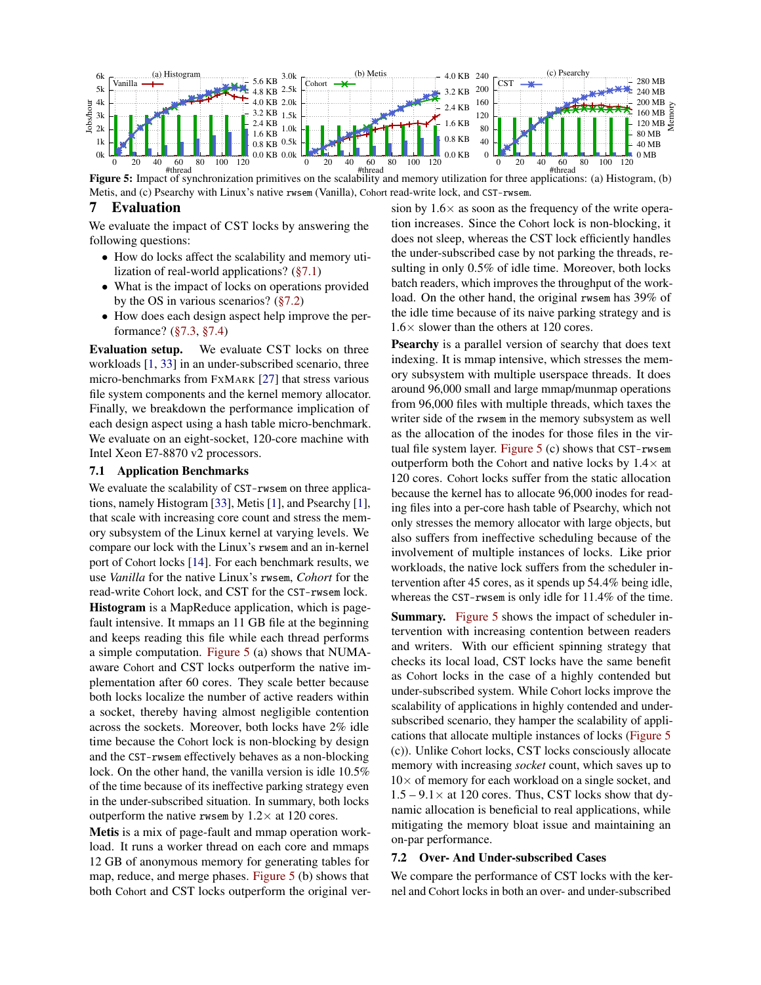<span id="page-8-2"></span>

Figure 5: Impact of synchronization primitives on the scalability and memory utilization for three applications: (a) Histogram, (b) Metis, and (c) Psearchy with Linux's native rwsem (Vanilla), Cohort read-write lock, and CST-rwsem.

# 7 Evaluation

We evaluate the impact of CST locks by answering the following questions:

- How do locks affect the scalability and memory utilization of real-world applications? [\(§7.1\)](#page-8-0)
- What is the impact of locks on operations provided by the OS in various scenarios? [\(§7.2\)](#page-8-1)
- How does each design aspect help improve the performance? [\(§7.3,](#page-9-0) [§7.4\)](#page-10-0)

Evaluation setup. We evaluate CST locks on three workloads [\[1,](#page-11-35) [33\]](#page-11-36) in an under-subscribed scenario, three micro-benchmarks from FXMARK [\[27\]](#page-11-4) that stress various file system components and the kernel memory allocator. Finally, we breakdown the performance implication of each design aspect using a hash table micro-benchmark. We evaluate on an eight-socket, 120-core machine with Intel Xeon E7-8870 v2 processors.

## <span id="page-8-0"></span>7.1 Application Benchmarks

We evaluate the scalability of CST-rwsem on three applications, namely Histogram [\[33\]](#page-11-36), Metis [\[1\]](#page-11-35), and Psearchy [\[1\]](#page-11-35), that scale with increasing core count and stress the memory subsystem of the Linux kernel at varying levels. We compare our lock with the Linux's rwsem and an in-kernel port of Cohort locks [\[14\]](#page-11-20). For each benchmark results, we use *Vanilla* for the native Linux's rwsem, *Cohort* for the read-write Cohort lock, and CST for the CST-rwsem lock. Histogram is a MapReduce application, which is pagefault intensive. It mmaps an 11 GB file at the beginning and keeps reading this file while each thread performs a simple computation. [Figure 5](#page-8-2) (a) shows that NUMAaware Cohort and CST locks outperform the native implementation after 60 cores. They scale better because both locks localize the number of active readers within a socket, thereby having almost negligible contention across the sockets. Moreover, both locks have 2% idle time because the Cohort lock is non-blocking by design and the CST-rwsem effectively behaves as a non-blocking lock. On the other hand, the vanilla version is idle 10.5% of the time because of its ineffective parking strategy even in the under-subscribed situation. In summary, both locks outperform the native rwsem by  $1.2 \times$  at 120 cores.

Metis is a mix of page-fault and mmap operation workload. It runs a worker thread on each core and mmaps 12 GB of anonymous memory for generating tables for map, reduce, and merge phases. [Figure 5](#page-8-2) (b) shows that both Cohort and CST locks outperform the original version by  $1.6\times$  as soon as the frequency of the write operation increases. Since the Cohort lock is non-blocking, it does not sleep, whereas the CST lock efficiently handles the under-subscribed case by not parking the threads, resulting in only 0.5% of idle time. Moreover, both locks batch readers, which improves the throughput of the workload. On the other hand, the original rwsem has 39% of the idle time because of its naive parking strategy and is 1.6× slower than the others at 120 cores.

Psearchy is a parallel version of searchy that does text indexing. It is mmap intensive, which stresses the memory subsystem with multiple userspace threads. It does around 96,000 small and large mmap/munmap operations from 96,000 files with multiple threads, which taxes the writer side of the rwsem in the memory subsystem as well as the allocation of the inodes for those files in the virtual file system layer. [Figure 5](#page-8-2) (c) shows that CST-rwsem outperform both the Cohort and native locks by  $1.4\times$  at 120 cores. Cohort locks suffer from the static allocation because the kernel has to allocate 96,000 inodes for reading files into a per-core hash table of Psearchy, which not only stresses the memory allocator with large objects, but also suffers from ineffective scheduling because of the involvement of multiple instances of locks. Like prior workloads, the native lock suffers from the scheduler intervention after 45 cores, as it spends up 54.4% being idle, whereas the CST-rwsem is only idle for 11.4% of the time.

Summary. [Figure 5](#page-8-2) shows the impact of scheduler intervention with increasing contention between readers and writers. With our efficient spinning strategy that checks its local load, CST locks have the same benefit as Cohort locks in the case of a highly contended but under-subscribed system. While Cohort locks improve the scalability of applications in highly contended and undersubscribed scenario, they hamper the scalability of applications that allocate multiple instances of locks [\(Figure 5](#page-8-2) (c)). Unlike Cohort locks, CST locks consciously allocate memory with increasing *socket* count, which saves up to  $10\times$  of memory for each workload on a single socket, and  $1.5 - 9.1 \times$  at 120 cores. Thus, CST locks show that dynamic allocation is beneficial to real applications, while mitigating the memory bloat issue and maintaining an on-par performance.

#### <span id="page-8-1"></span>7.2 Over- And Under-subscribed Cases

We compare the performance of CST locks with the kernel and Cohort locks in both an over- and under-subscribed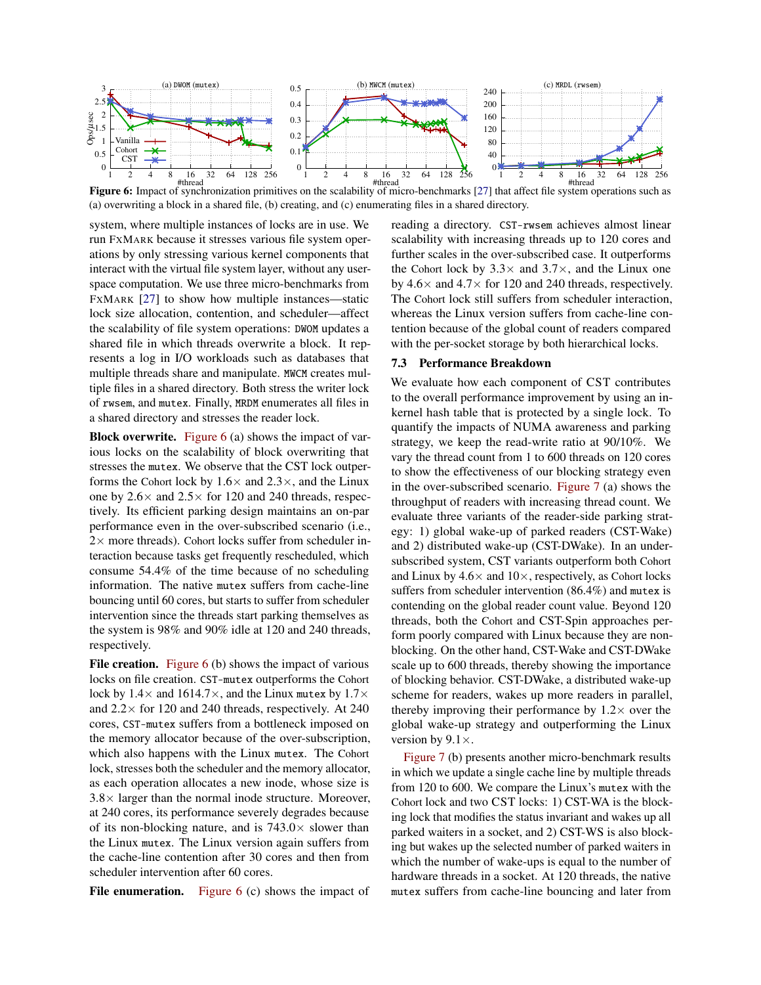<span id="page-9-1"></span>

Figure 6: Impact of synchronization primitives on the scalability of micro-benchmarks [\[27\]](#page-11-4) that affect file system operations such as (a) overwriting a block in a shared file, (b) creating, and (c) enumerating files in a shared directory.

system, where multiple instances of locks are in use. We run FXMARK because it stresses various file system operations by only stressing various kernel components that interact with the virtual file system layer, without any userspace computation. We use three micro-benchmarks from FXMARK [\[27\]](#page-11-4) to show how multiple instances—static lock size allocation, contention, and scheduler—affect the scalability of file system operations: DWOM updates a shared file in which threads overwrite a block. It represents a log in I/O workloads such as databases that multiple threads share and manipulate. MWCM creates multiple files in a shared directory. Both stress the writer lock of rwsem, and mutex. Finally, MRDM enumerates all files in a shared directory and stresses the reader lock.

Block overwrite. [Figure 6](#page-9-1) (a) shows the impact of various locks on the scalability of block overwriting that stresses the mutex. We observe that the CST lock outperforms the Cohort lock by  $1.6 \times$  and  $2.3 \times$ , and the Linux one by  $2.6 \times$  and  $2.5 \times$  for 120 and 240 threads, respectively. Its efficient parking design maintains an on-par performance even in the over-subscribed scenario (i.e.,  $2\times$  more threads). Cohort locks suffer from scheduler interaction because tasks get frequently rescheduled, which consume 54.4% of the time because of no scheduling information. The native mutex suffers from cache-line bouncing until 60 cores, but starts to suffer from scheduler intervention since the threads start parking themselves as the system is 98% and 90% idle at 120 and 240 threads, respectively.

File creation. [Figure 6](#page-9-1) (b) shows the impact of various locks on file creation. CST-mutex outperforms the Cohort lock by  $1.4 \times$  and  $1614.7 \times$ , and the Linux mutex by  $1.7 \times$ and  $2.2 \times$  for 120 and 240 threads, respectively. At 240 cores, CST-mutex suffers from a bottleneck imposed on the memory allocator because of the over-subscription, which also happens with the Linux mutex. The Cohort lock, stresses both the scheduler and the memory allocator, as each operation allocates a new inode, whose size is  $3.8\times$  larger than the normal inode structure. Moreover, at 240 cores, its performance severely degrades because of its non-blocking nature, and is  $743.0 \times$  slower than the Linux mutex. The Linux version again suffers from the cache-line contention after 30 cores and then from scheduler intervention after 60 cores.

File enumeration. Figure  $6$  (c) shows the impact of

reading a directory. CST-rwsem achieves almost linear scalability with increasing threads up to 120 cores and further scales in the over-subscribed case. It outperforms the Cohort lock by  $3.3 \times$  and  $3.7 \times$ , and the Linux one by  $4.6\times$  and  $4.7\times$  for 120 and 240 threads, respectively. The Cohort lock still suffers from scheduler interaction, whereas the Linux version suffers from cache-line contention because of the global count of readers compared with the per-socket storage by both hierarchical locks.

## <span id="page-9-0"></span>7.3 Performance Breakdown

We evaluate how each component of CST contributes to the overall performance improvement by using an inkernel hash table that is protected by a single lock. To quantify the impacts of NUMA awareness and parking strategy, we keep the read-write ratio at 90/10%. We vary the thread count from 1 to 600 threads on 120 cores to show the effectiveness of our blocking strategy even in the over-subscribed scenario. [Figure 7](#page-10-1) (a) shows the throughput of readers with increasing thread count. We evaluate three variants of the reader-side parking strategy: 1) global wake-up of parked readers (CST-Wake) and 2) distributed wake-up (CST-DWake). In an undersubscribed system, CST variants outperform both Cohort and Linux by  $4.6 \times$  and  $10 \times$ , respectively, as Cohort locks suffers from scheduler intervention (86.4%) and mutex is contending on the global reader count value. Beyond 120 threads, both the Cohort and CST-Spin approaches perform poorly compared with Linux because they are nonblocking. On the other hand, CST-Wake and CST-DWake scale up to 600 threads, thereby showing the importance of blocking behavior. CST-DWake, a distributed wake-up scheme for readers, wakes up more readers in parallel, thereby improving their performance by  $1.2 \times$  over the global wake-up strategy and outperforming the Linux version by  $9.1 \times$ .

[Figure 7](#page-10-1) (b) presents another micro-benchmark results in which we update a single cache line by multiple threads from 120 to 600. We compare the Linux's mutex with the Cohort lock and two CST locks: 1) CST-WA is the blocking lock that modifies the status invariant and wakes up all parked waiters in a socket, and 2) CST-WS is also blocking but wakes up the selected number of parked waiters in which the number of wake-ups is equal to the number of hardware threads in a socket. At 120 threads, the native mutex suffers from cache-line bouncing and later from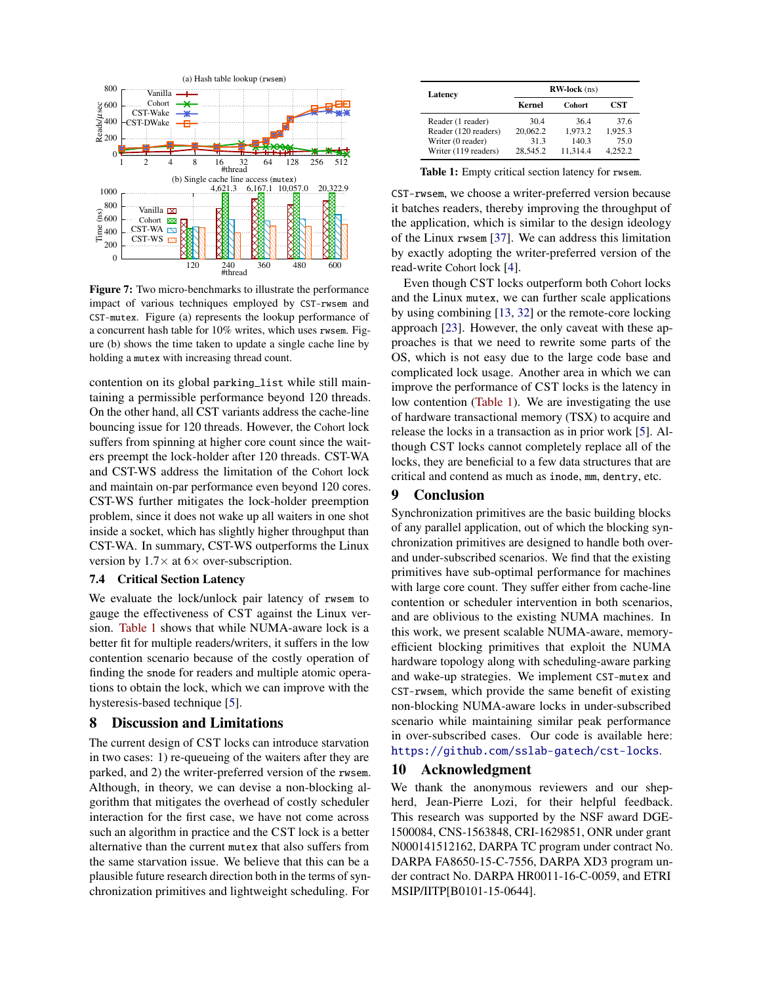<span id="page-10-1"></span>

Figure 7: Two micro-benchmarks to illustrate the performance impact of various techniques employed by CST-rwsem and CST-mutex. Figure (a) represents the lookup performance of a concurrent hash table for 10% writes, which uses rwsem. Figure (b) shows the time taken to update a single cache line by holding a mutex with increasing thread count.

contention on its global parking\_list while still maintaining a permissible performance beyond 120 threads. On the other hand, all CST variants address the cache-line bouncing issue for 120 threads. However, the Cohort lock suffers from spinning at higher core count since the waiters preempt the lock-holder after 120 threads. CST-WA and CST-WS address the limitation of the Cohort lock and maintain on-par performance even beyond 120 cores. CST-WS further mitigates the lock-holder preemption problem, since it does not wake up all waiters in one shot inside a socket, which has slightly higher throughput than CST-WA. In summary, CST-WS outperforms the Linux version by  $1.7\times$  at 6 $\times$  over-subscription.

## <span id="page-10-0"></span>7.4 Critical Section Latency

We evaluate the lock/unlock pair latency of rwsem to gauge the effectiveness of CST against the Linux version. [Table 1](#page-10-2) shows that while NUMA-aware lock is a better fit for multiple readers/writers, it suffers in the low contention scenario because of the costly operation of finding the snode for readers and multiple atomic operations to obtain the lock, which we can improve with the hysteresis-based technique [\[5\]](#page-11-8).

#### 8 Discussion and Limitations

The current design of CST locks can introduce starvation in two cases: 1) re-queueing of the waiters after they are parked, and 2) the writer-preferred version of the rwsem. Although, in theory, we can devise a non-blocking algorithm that mitigates the overhead of costly scheduler interaction for the first case, we have not come across such an algorithm in practice and the CST lock is a better alternative than the current mutex that also suffers from the same starvation issue. We believe that this can be a plausible future research direction both in the terms of synchronization primitives and lightweight scheduling. For

<span id="page-10-2"></span>

| Latency              | $RW-lock$ (ns) |               |         |
|----------------------|----------------|---------------|---------|
|                      | <b>Kernel</b>  | <b>Cohort</b> | CST     |
| Reader (1 reader)    | 30.4           | 364           | 37.6    |
| Reader (120 readers) | 20,062.2       | 1.973.2       | 1.925.3 |
| Writer (0 reader)    | 313            | 140.3         | 75.0    |
| Writer (119 readers) | 28.545.2       | 11.314.4      | 4.252.2 |

Table 1: Empty critical section latency for rwsem.

CST-rwsem, we choose a writer-preferred version because it batches readers, thereby improving the throughput of the application, which is similar to the design ideology of the Linux rwsem [\[37\]](#page-11-32). We can address this limitation by exactly adopting the writer-preferred version of the read-write Cohort lock [\[4\]](#page-11-5).

Even though CST locks outperform both Cohort locks and the Linux mutex, we can further scale applications by using combining [\[13,](#page-11-21) [32\]](#page-11-22) or the remote-core locking approach [\[23\]](#page-11-10). However, the only caveat with these approaches is that we need to rewrite some parts of the OS, which is not easy due to the large code base and complicated lock usage. Another area in which we can improve the performance of CST locks is the latency in low contention [\(Table 1\)](#page-10-2). We are investigating the use of hardware transactional memory (TSX) to acquire and release the locks in a transaction as in prior work [\[5\]](#page-11-8). Although CST locks cannot completely replace all of the locks, they are beneficial to a few data structures that are critical and contend as much as inode, mm, dentry, etc.

#### 9 Conclusion

Synchronization primitives are the basic building blocks of any parallel application, out of which the blocking synchronization primitives are designed to handle both overand under-subscribed scenarios. We find that the existing primitives have sub-optimal performance for machines with large core count. They suffer either from cache-line contention or scheduler intervention in both scenarios, and are oblivious to the existing NUMA machines. In this work, we present scalable NUMA-aware, memoryefficient blocking primitives that exploit the NUMA hardware topology along with scheduling-aware parking and wake-up strategies. We implement CST-mutex and CST-rwsem, which provide the same benefit of existing non-blocking NUMA-aware locks in under-subscribed scenario while maintaining similar peak performance in over-subscribed cases. Our code is available here: <https://github.com/sslab-gatech/cst-locks>.

## 10 Acknowledgment

We thank the anonymous reviewers and our shepherd, Jean-Pierre Lozi, for their helpful feedback. This research was supported by the NSF award DGE-1500084, CNS-1563848, CRI-1629851, ONR under grant N000141512162, DARPA TC program under contract No. DARPA FA8650-15-C-7556, DARPA XD3 program under contract No. DARPA HR0011-16-C-0059, and ETRI MSIP/IITP[B0101-15-0644].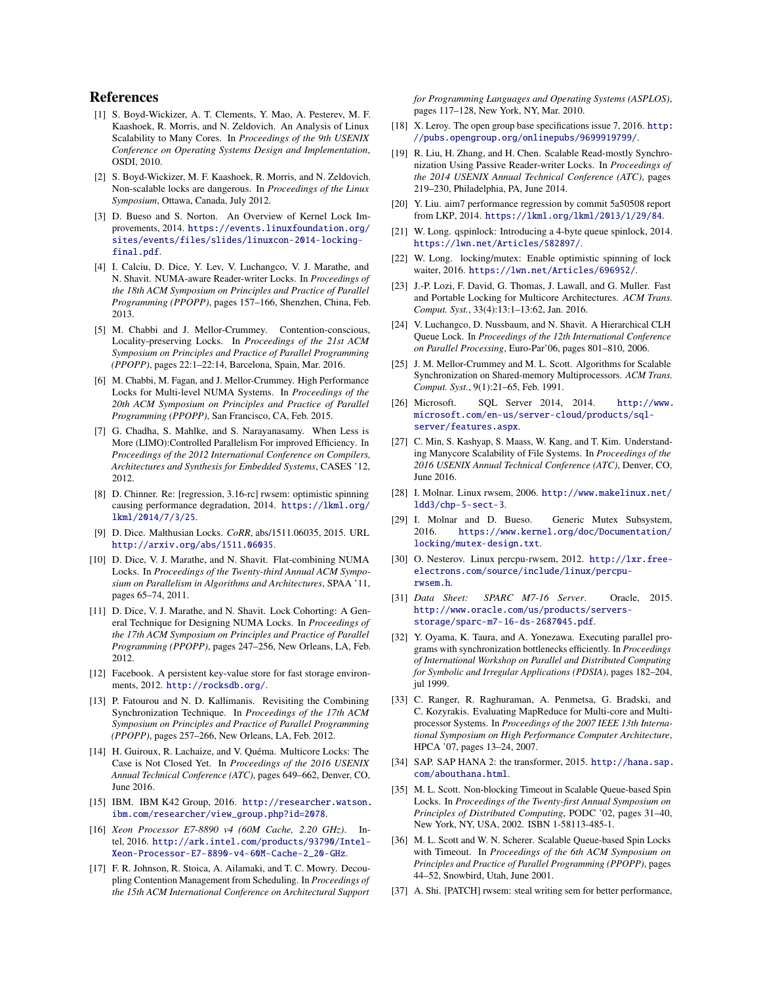## References

- <span id="page-11-35"></span>[1] S. Boyd-Wickizer, A. T. Clements, Y. Mao, A. Pesterev, M. F. Kaashoek, R. Morris, and N. Zeldovich. An Analysis of Linux Scalability to Many Cores. In *Proceedings of the 9th USENIX Conference on Operating Systems Design and Implementation*, OSDI, 2010.
- <span id="page-11-7"></span>[2] S. Boyd-Wickizer, M. F. Kaashoek, R. Morris, and N. Zeldovich. Non-scalable locks are dangerous. In *Proceedings of the Linux Symposium*, Ottawa, Canada, July 2012.
- <span id="page-11-17"></span>[3] D. Bueso and S. Norton. An Overview of Kernel Lock Improvements, 2014. [https://events.linuxfoundation.org/](https://events.linuxfoundation.org/sites/events/files/slides/linuxcon-2014-locking-final.pdf) [sites/events/files/slides/linuxcon-2014-locking](https://events.linuxfoundation.org/sites/events/files/slides/linuxcon-2014-locking-final.pdf)[final.pdf](https://events.linuxfoundation.org/sites/events/files/slides/linuxcon-2014-locking-final.pdf).
- <span id="page-11-5"></span>[4] I. Calciu, D. Dice, Y. Lev, V. Luchangco, V. J. Marathe, and N. Shavit. NUMA-aware Reader-writer Locks. In *Proceedings of the 18th ACM Symposium on Principles and Practice of Parallel Programming (PPOPP)*, pages 157–166, Shenzhen, China, Feb. 2013.
- <span id="page-11-8"></span>[5] M. Chabbi and J. Mellor-Crummey. Contention-conscious, Locality-preserving Locks. In *Proceedings of the 21st ACM Symposium on Principles and Practice of Parallel Programming (PPOPP)*, pages 22:1–22:14, Barcelona, Spain, Mar. 2016.
- <span id="page-11-19"></span>[6] M. Chabbi, M. Fagan, and J. Mellor-Crummey. High Performance Locks for Multi-level NUMA Systems. In *Proceedings of the 20th ACM Symposium on Principles and Practice of Parallel Programming (PPOPP)*, San Francisco, CA, Feb. 2015.
- <span id="page-11-27"></span>[7] G. Chadha, S. Mahlke, and S. Narayanasamy. When Less is More (LIMO):Controlled Parallelism For improved Efficiency. In *Proceedings of the 2012 International Conference on Compilers, Architectures and Synthesis for Embedded Systems*, CASES '12, 2012.
- <span id="page-11-33"></span>[8] D. Chinner. Re: [regression, 3.16-rc] rwsem: optimistic spinning causing performance degradation, 2014. [https://lkml.org/](https://lkml.org/lkml/2014/7/3/25) [lkml/2014/7/3/25](https://lkml.org/lkml/2014/7/3/25).
- <span id="page-11-28"></span>[9] D. Dice. Malthusian Locks. *CoRR*, abs/1511.06035, 2015. URL <http://arxiv.org/abs/1511.06035>.
- <span id="page-11-9"></span>[10] D. Dice, V. J. Marathe, and N. Shavit. Flat-combining NUMA Locks. In *Proceedings of the Twenty-third Annual ACM Symposium on Parallelism in Algorithms and Architectures*, SPAA '11, pages 65–74, 2011.
- <span id="page-11-6"></span>[11] D. Dice, V. J. Marathe, and N. Shavit. Lock Cohorting: A General Technique for Designing NUMA Locks. In *Proceedings of the 17th ACM Symposium on Principles and Practice of Parallel Programming (PPOPP)*, pages 247–256, New Orleans, LA, Feb. 2012.
- <span id="page-11-13"></span>[12] Facebook. A persistent key-value store for fast storage environments, 2012. <http://rocksdb.org/>.
- <span id="page-11-21"></span>[13] P. Fatourou and N. D. Kallimanis. Revisiting the Combining Synchronization Technique. In *Proceedings of the 17th ACM Symposium on Principles and Practice of Parallel Programming (PPOPP)*, pages 257–266, New Orleans, LA, Feb. 2012.
- <span id="page-11-20"></span>[14] H. Guiroux, R. Lachaize, and V. Quéma. Multicore Locks: The Case is Not Closed Yet. In *Proceedings of the 2016 USENIX Annual Technical Conference (ATC)*, pages 649–662, Denver, CO, June 2016.
- <span id="page-11-34"></span>[15] IBM. IBM K42 Group, 2016. [http://researcher.watson.](http://researcher.watson.ibm.com/researcher/view_group.php?id=2078) [ibm.com/researcher/view\\_group.php?id=2078](http://researcher.watson.ibm.com/researcher/view_group.php?id=2078).
- <span id="page-11-0"></span>[16] *Xeon Processor E7-8890 v4 (60M Cache, 2.20 GHz)*. Intel, 2016. [http://ark.intel.com/products/93790/Intel-](http://ark.intel.com/products/93790/Intel-Xeon-Processor-E7-8890-v4-60M-Cache-2_20-GHz)[Xeon-Processor-E7-8890-v4-60M-Cache-2\\_20-GHz](http://ark.intel.com/products/93790/Intel-Xeon-Processor-E7-8890-v4-60M-Cache-2_20-GHz).
- <span id="page-11-26"></span>[17] F. R. Johnson, R. Stoica, A. Ailamaki, and T. C. Mowry. Decoupling Contention Management from Scheduling. In *Proceedings of the 15th ACM International Conference on Architectural Support*

*for Programming Languages and Operating Systems (ASPLOS)*, pages 117–128, New York, NY, Mar. 2010.

- <span id="page-11-14"></span>[18] X. Leroy. The open group base specifications issue 7, 2016. [http:](http://pubs.opengroup.org/onlinepubs/9699919799/) [//pubs.opengroup.org/onlinepubs/9699919799/](http://pubs.opengroup.org/onlinepubs/9699919799/).
- <span id="page-11-23"></span>[19] R. Liu, H. Zhang, and H. Chen. Scalable Read-mostly Synchronization Using Passive Reader-writer Locks. In *Proceedings of the 2014 USENIX Annual Technical Conference (ATC)*, pages 219–230, Philadelphia, PA, June 2014.
- <span id="page-11-31"></span>[20] Y. Liu. aim7 performance regression by commit 5a50508 report from LKP, 2014. <https://lkml.org/lkml/2013/1/29/84>.
- <span id="page-11-12"></span>[21] W. Long. qspinlock: Introducing a 4-byte queue spinlock, 2014. <https://lwn.net/Articles/582897/>.
- <span id="page-11-30"></span>[22] W. Long. locking/mutex: Enable optimistic spinning of lock waiter, 2016. <https://lwn.net/Articles/696952/>.
- <span id="page-11-10"></span>[23] J.-P. Lozi, F. David, G. Thomas, J. Lawall, and G. Muller. Fast and Portable Locking for Multicore Architectures. *ACM Trans. Comput. Syst.*, 33(4):13:1–13:62, Jan. 2016.
- <span id="page-11-11"></span>[24] V. Luchangco, D. Nussbaum, and N. Shavit. A Hierarchical CLH Queue Lock. In *Proceedings of the 12th International Conference on Parallel Processing*, Euro-Par'06, pages 801–810, 2006.
- <span id="page-11-18"></span>[25] J. M. Mellor-Crummey and M. L. Scott. Algorithms for Scalable Synchronization on Shared-memory Multiprocessors. *ACM Trans. Comput. Syst.*, 9(1):21–65, Feb. 1991.
- <span id="page-11-2"></span>[26] Microsoft. SQL Server 2014, 2014. [http://www.](http://www.microsoft.com/en-us/server-cloud/products/sql-server/features.aspx) [microsoft.com/en-us/server-cloud/products/sql](http://www.microsoft.com/en-us/server-cloud/products/sql-server/features.aspx)[server/features.aspx](http://www.microsoft.com/en-us/server-cloud/products/sql-server/features.aspx).
- <span id="page-11-4"></span>[27] C. Min, S. Kashyap, S. Maass, W. Kang, and T. Kim. Understanding Manycore Scalability of File Systems. In *Proceedings of the 2016 USENIX Annual Technical Conference (ATC)*, Denver, CO, June 2016.
- <span id="page-11-24"></span>[28] I. Molnar. Linux rwsem, 2006. [http://www.makelinux.net/](http://www.makelinux.net/ldd3/chp-5-sect-3) [ldd3/chp-5-sect-3](http://www.makelinux.net/ldd3/chp-5-sect-3).
- <span id="page-11-29"></span>[29] I. Molnar and D. Bueso. Generic Mutex Subsystem, 2016. [https://www.kernel.org/doc/Documentation/](https://www.kernel.org/doc/Documentation/locking/mutex-design.txt) [locking/mutex-design.txt](https://www.kernel.org/doc/Documentation/locking/mutex-design.txt).
- <span id="page-11-25"></span>[30] O. Nesterov. Linux percpu-rwsem, 2012. [http://lxr.free](http://lxr.free-electrons.com/source/include/linux/percpu-rwsem.h)[electrons.com/source/include/linux/percpu](http://lxr.free-electrons.com/source/include/linux/percpu-rwsem.h)[rwsem.h](http://lxr.free-electrons.com/source/include/linux/percpu-rwsem.h).
- <span id="page-11-1"></span>[31] *Data Sheet: SPARC M7-16 Server*. Oracle, 2015. [http://www.oracle.com/us/products/servers](http://www.oracle.com/us/products/servers-storage/sparc-m7-16-ds-2687045.pdf)[storage/sparc-m7-16-ds-2687045.pdf](http://www.oracle.com/us/products/servers-storage/sparc-m7-16-ds-2687045.pdf).
- <span id="page-11-22"></span>[32] Y. Oyama, K. Taura, and A. Yonezawa. Executing parallel programs with synchronization bottlenecks efficiently. In *Proceedings of International Workshop on Parallel and Distributed Computing for Symbolic and Irregular Applications (PDSIA)*, pages 182–204, jul 1999.
- <span id="page-11-36"></span>[33] C. Ranger, R. Raghuraman, A. Penmetsa, G. Bradski, and C. Kozyrakis. Evaluating MapReduce for Multi-core and Multiprocessor Systems. In *Proceedings of the 2007 IEEE 13th International Symposium on High Performance Computer Architecture*, HPCA '07, pages 13–24, 2007.
- <span id="page-11-3"></span>[34] SAP. SAP HANA 2: the transformer, 2015. [http://hana.sap.](http://hana.sap.com/abouthana.html) [com/abouthana.html](http://hana.sap.com/abouthana.html).
- <span id="page-11-15"></span>[35] M. L. Scott. Non-blocking Timeout in Scalable Queue-based Spin Locks. In *Proceedings of the Twenty-first Annual Symposium on Principles of Distributed Computing*, PODC '02, pages 31–40, New York, NY, USA, 2002. ISBN 1-58113-485-1.
- <span id="page-11-16"></span>[36] M. L. Scott and W. N. Scherer. Scalable Queue-based Spin Locks with Timeout. In *Proceedings of the 6th ACM Symposium on Principles and Practice of Parallel Programming (PPOPP)*, pages 44–52, Snowbird, Utah, June 2001.
- <span id="page-11-32"></span>[37] A. Shi. [PATCH] rwsem: steal writing sem for better performance,